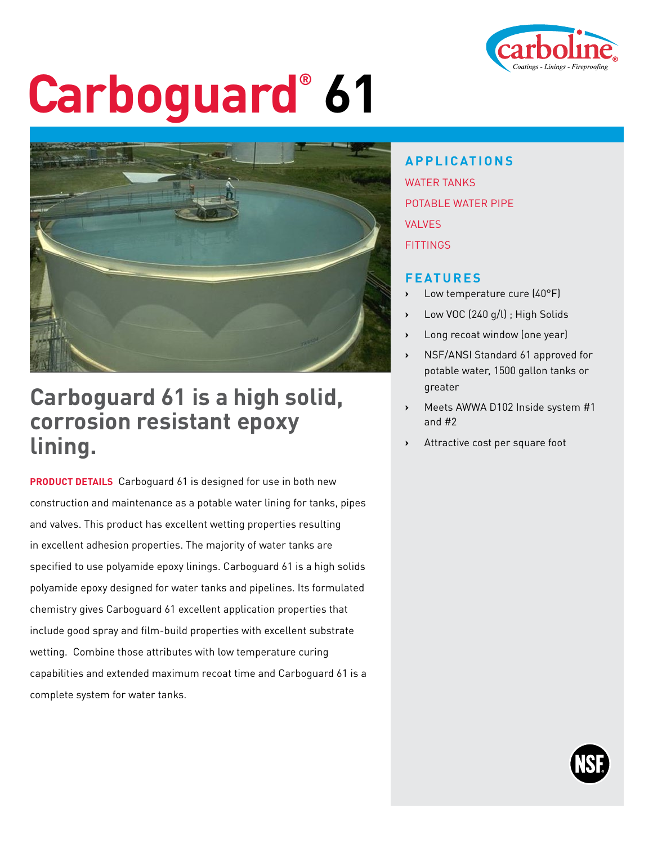

# **Carboguard® 61**



### **Carboguard 61 is a high solid, corrosion resistant epoxy lining.**

**PRODUCT DETAILS** Carboguard 61 is designed for use in both new construction and maintenance as a potable water lining for tanks, pipes and valves. This product has excellent wetting properties resulting in excellent adhesion properties. The majority of water tanks are specified to use polyamide epoxy linings. Carboguard 61 is a high solids polyamide epoxy designed for water tanks and pipelines. Its formulated chemistry gives Carboguard 61 excellent application properties that include good spray and film-build properties with excellent substrate wetting. Combine those attributes with low temperature curing capabilities and extended maximum recoat time and Carboguard 61 is a complete system for water tanks.

### **APPLICATIONS**

WATER TANKS POTABLE WATER PIPE VALVES **FITTINGS** 

#### **FEATURES**

- **›** Low temperature cure (40°F)
- **›** Low VOC (240 g/l) ; High Solids
- **›** Long recoat window (one year)
- **›** NSF/ANSI Standard 61 approved for potable water, 1500 gallon tanks or greater
- **›** Meets AWWA D102 Inside system #1 and #2
- **›** Attractive cost per square foot